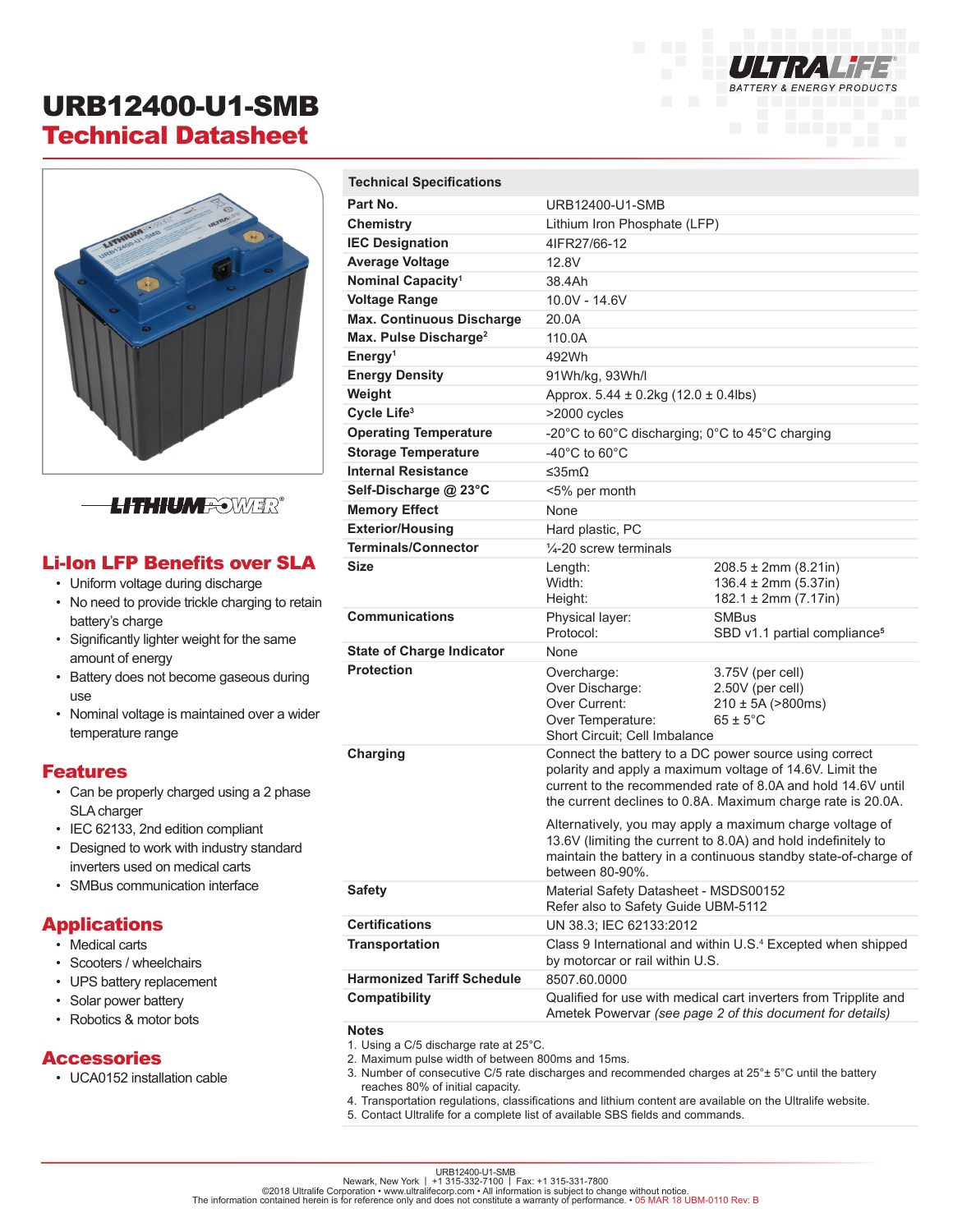# URB12400-U1-SMB Technical Datasheet



## **LITHIUM** <del>N</del>OWER®

#### Li-Ion LFP Benefits over SLA

- Uniform voltage during discharge
- No need to provide trickle charging to retain battery's charge
- Significantly lighter weight for the same amount of energy
- Battery does not become gaseous during use
- Nominal voltage is maintained over a wider temperature range

#### Features

- Can be properly charged using a 2 phase SLA charger
- IEC 62133, 2nd edition compliant
- Designed to work with industry standard inverters used on medical carts
- SMBus communication interface

#### Applications

- Medical carts
- Scooters / wheelchairs
- UPS battery replacement
- Solar power battery
- Robotics & motor bots

#### **Accessories**

• UCA0152 installation cable

| <b>Technical Specifications</b>   |                                                                                                                                                                                                                                                   |                                                                                          |
|-----------------------------------|---------------------------------------------------------------------------------------------------------------------------------------------------------------------------------------------------------------------------------------------------|------------------------------------------------------------------------------------------|
| Part No.                          | URB12400-U1-SMB                                                                                                                                                                                                                                   |                                                                                          |
| Chemistry                         | Lithium Iron Phosphate (LFP)                                                                                                                                                                                                                      |                                                                                          |
| <b>IEC Designation</b>            | 4IFR27/66-12                                                                                                                                                                                                                                      |                                                                                          |
| <b>Average Voltage</b>            | 12.8V                                                                                                                                                                                                                                             |                                                                                          |
| Nominal Capacity <sup>1</sup>     | 38.4Ah                                                                                                                                                                                                                                            |                                                                                          |
| <b>Voltage Range</b>              | 10.0V - 14.6V                                                                                                                                                                                                                                     |                                                                                          |
| <b>Max. Continuous Discharge</b>  | 20.0A                                                                                                                                                                                                                                             |                                                                                          |
| Max. Pulse Discharge <sup>2</sup> | 110.0A                                                                                                                                                                                                                                            |                                                                                          |
| Energy <sup>1</sup>               | 492Wh                                                                                                                                                                                                                                             |                                                                                          |
| <b>Energy Density</b>             | 91Wh/kg, 93Wh/l                                                                                                                                                                                                                                   |                                                                                          |
| Weight                            | Approx. $5.44 \pm 0.2$ kg (12.0 $\pm$ 0.4lbs)                                                                                                                                                                                                     |                                                                                          |
| Cycle Life <sup>3</sup>           | >2000 cycles                                                                                                                                                                                                                                      |                                                                                          |
| <b>Operating Temperature</b>      | -20°C to 60°C discharging; 0°C to 45°C charging                                                                                                                                                                                                   |                                                                                          |
| <b>Storage Temperature</b>        | -40 $^{\circ}$ C to 60 $^{\circ}$ C                                                                                                                                                                                                               |                                                                                          |
| <b>Internal Resistance</b>        | ≤35m $O$                                                                                                                                                                                                                                          |                                                                                          |
| Self-Discharge @ 23°C             | <5% per month                                                                                                                                                                                                                                     |                                                                                          |
| <b>Memory Effect</b>              | <b>None</b>                                                                                                                                                                                                                                       |                                                                                          |
| <b>Exterior/Housing</b>           | Hard plastic, PC                                                                                                                                                                                                                                  |                                                                                          |
| <b>Terminals/Connector</b>        | $\frac{1}{4}$ -20 screw terminals                                                                                                                                                                                                                 |                                                                                          |
| <b>Size</b>                       | Length:<br>Width:<br>Height:                                                                                                                                                                                                                      | $208.5 \pm 2 \text{mm}$ (8.21in)<br>$136.4 \pm 2mm (5.37in)$<br>$182.1 \pm 2mm (7.17in)$ |
| <b>Communications</b>             | Physical layer:<br>Protocol:                                                                                                                                                                                                                      | <b>SMBus</b><br>SBD v1.1 partial compliance <sup>5</sup>                                 |
| <b>State of Charge Indicator</b>  | None                                                                                                                                                                                                                                              |                                                                                          |
| <b>Protection</b>                 | Overcharge:<br>Over Discharge:<br>Over Current:<br>Over Temperature:<br>Short Circuit; Cell Imbalance                                                                                                                                             | 3.75V (per cell)<br>2.50V (per cell)<br>$210 \pm 5A ( > 800ms)$<br>$65 \pm 5^{\circ}$ C  |
| Charging                          | Connect the battery to a DC power source using correct<br>polarity and apply a maximum voltage of 14.6V. Limit the<br>current to the recommended rate of 8.0A and hold 14.6V until<br>the current declines to 0.8A. Maximum charge rate is 20.0A. |                                                                                          |
|                                   | Alternatively, you may apply a maximum charge voltage of<br>13.6V (limiting the current to 8.0A) and hold indefinitely to<br>maintain the battery in a continuous standby state-of-charge of<br>between 80-90%.                                   |                                                                                          |
| <b>Safety</b>                     | Material Safety Datasheet - MSDS00152<br>Refer also to Safety Guide UBM-5112                                                                                                                                                                      |                                                                                          |
| <b>Certifications</b>             | UN 38.3; IEC 62133.2012                                                                                                                                                                                                                           |                                                                                          |
| <b>Transportation</b>             | Class 9 International and within U.S. <sup>4</sup> Excepted when shipped<br>by motorcar or rail within U.S.                                                                                                                                       |                                                                                          |
| <b>Harmonized Tariff Schedule</b> | 8507.60.0000                                                                                                                                                                                                                                      |                                                                                          |
| Compatibility                     | Qualified for use with medical cart inverters from Tripplite and<br>Ametek Powervar (see page 2 of this document for details)                                                                                                                     |                                                                                          |
| <b>Notes</b>                      |                                                                                                                                                                                                                                                   |                                                                                          |

**BATTERY & ENERGY PRODUCTS** 

- 1. Using a C/5 discharge rate at 25°C.
- 2. Maximum pulse width of between 800ms and 15ms.
- 3. Number of consecutive C/5 rate discharges and recommended charges at 25°± 5°C until the battery reaches 80% of initial capacity.
- 4. Transportation regulations, classifications and lithium content are available on the Ultralife website.
- 5. Contact Ultralife for a complete list of available SBS fields and commands.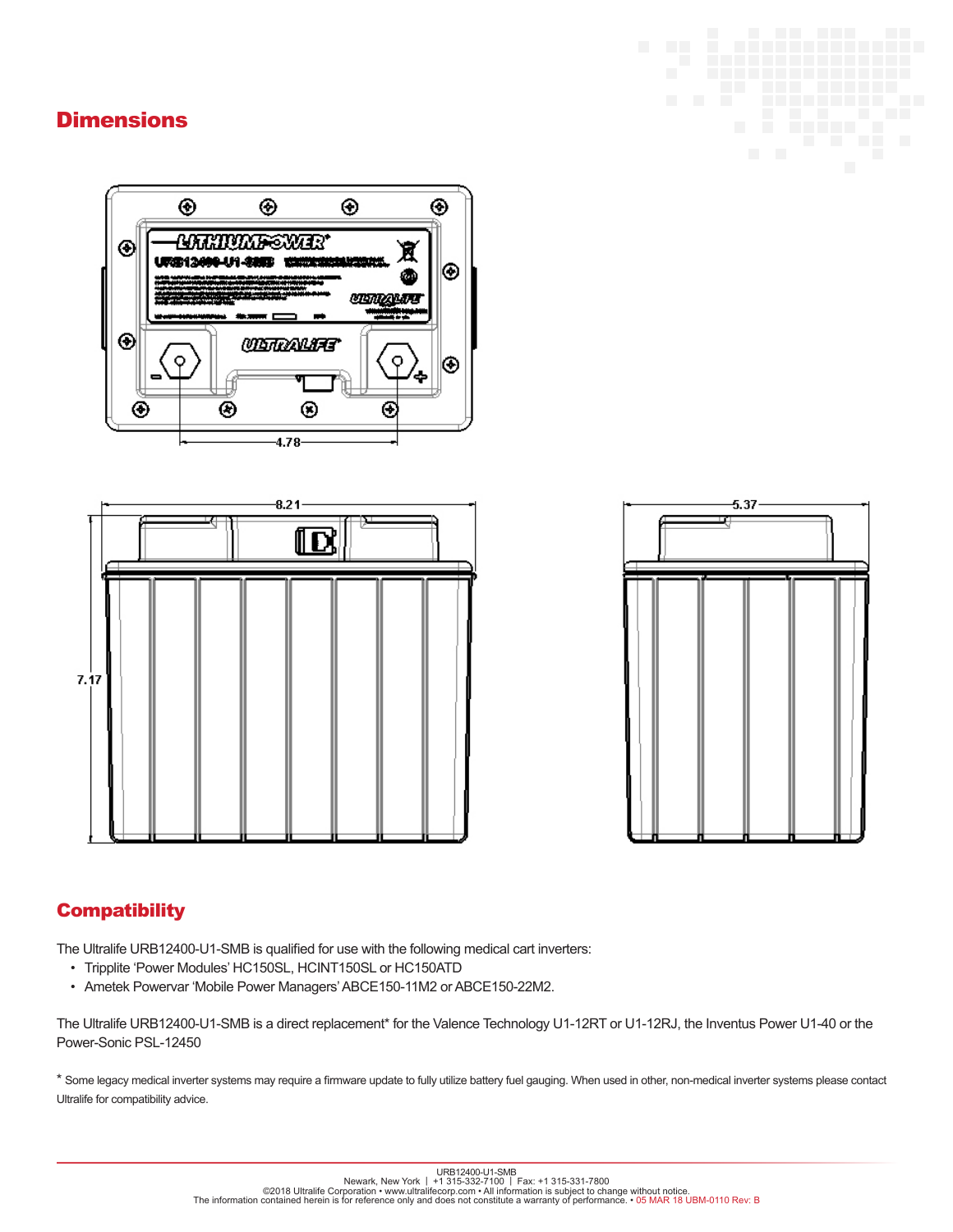## **Dimensions**









## **Compatibility**

The Ultralife URB12400-U1-SMB is qualified for use with the following medical cart inverters:

- Tripplite 'Power Modules' HC150SL, HCINT150SL or HC150ATD
- Ametek Powervar 'Mobile Power Managers' ABCE150-11M2 or ABCE150-22M2.

The Ultralife URB12400-U1-SMB is a direct replacement\* for the Valence Technology U1-12RT or U1-12RJ, the Inventus Power U1-40 or the Power-Sonic PSL-12450

\* Some legacy medical inverter systems may require a firmware update to fully utilize battery fuel gauging. When used in other, non-medical inverter systems please contact Ultralife for compatibility advice.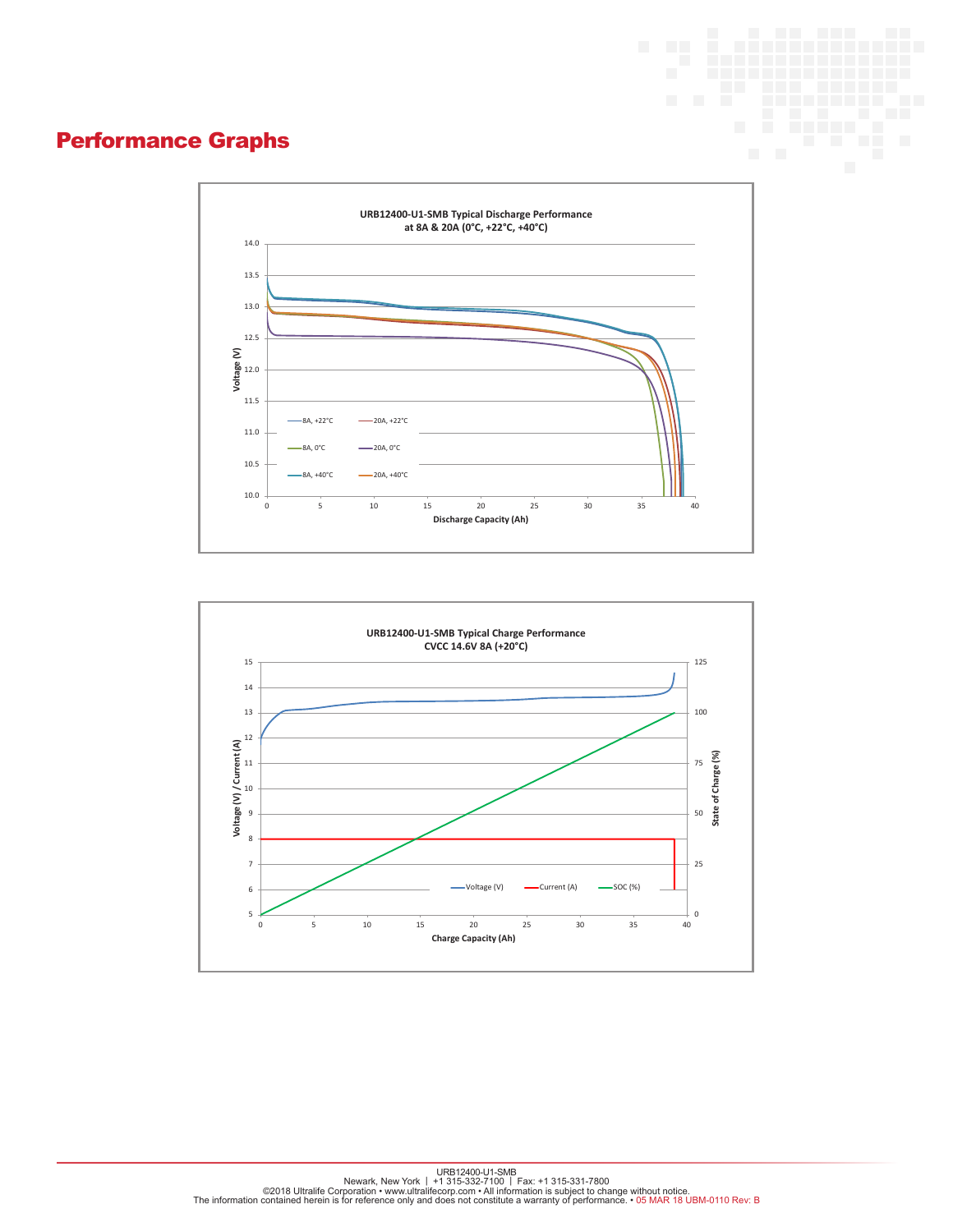# Performance Graphs